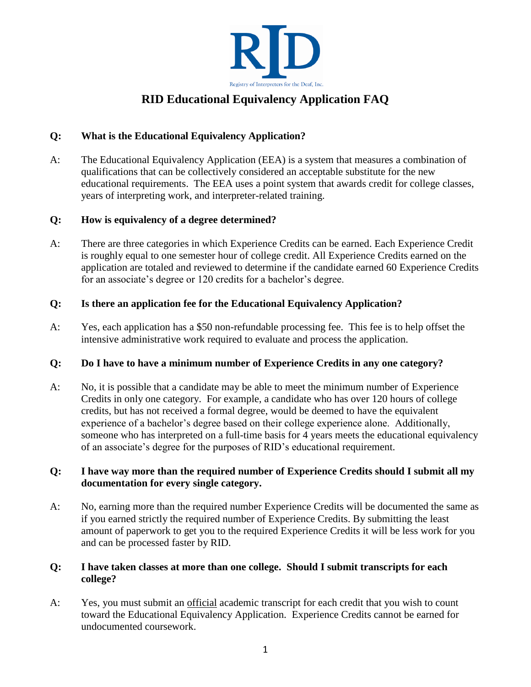

# **RID Educational Equivalency Application FAQ**

# **Q: What is the Educational Equivalency Application?**

A: The Educational Equivalency Application (EEA) is a system that measures a combination of qualifications that can be collectively considered an acceptable substitute for the new educational requirements. The EEA uses a point system that awards credit for college classes, years of interpreting work, and interpreter-related training.

#### **Q: How is equivalency of a degree determined?**

A: There are three categories in which Experience Credits can be earned. Each Experience Credit is roughly equal to one semester hour of college credit. All Experience Credits earned on the application are totaled and reviewed to determine if the candidate earned 60 Experience Credits for an associate's degree or 120 credits for a bachelor's degree.

# **Q: Is there an application fee for the Educational Equivalency Application?**

A: Yes, each application has a \$50 non-refundable processing fee. This fee is to help offset the intensive administrative work required to evaluate and process the application.

# **Q: Do I have to have a minimum number of Experience Credits in any one category?**

A: No, it is possible that a candidate may be able to meet the minimum number of Experience Credits in only one category. For example, a candidate who has over 120 hours of college credits, but has not received a formal degree, would be deemed to have the equivalent experience of a bachelor's degree based on their college experience alone. Additionally, someone who has interpreted on a full-time basis for 4 years meets the educational equivalency of an associate's degree for the purposes of RID's educational requirement.

# **Q: I have way more than the required number of Experience Credits should I submit all my documentation for every single category.**

A: No, earning more than the required number Experience Credits will be documented the same as if you earned strictly the required number of Experience Credits. By submitting the least amount of paperwork to get you to the required Experience Credits it will be less work for you and can be processed faster by RID.

# **Q: I have taken classes at more than one college. Should I submit transcripts for each college?**

A: Yes, you must submit an official academic transcript for each credit that you wish to count toward the Educational Equivalency Application. Experience Credits cannot be earned for undocumented coursework.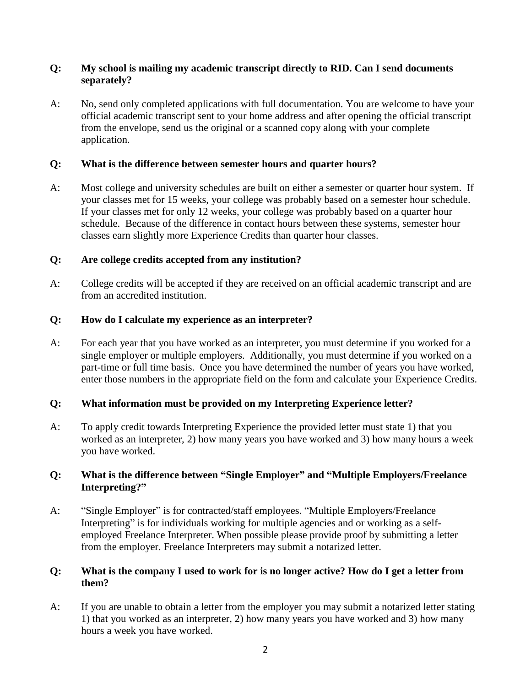#### **Q: My school is mailing my academic transcript directly to RID. Can I send documents separately?**

A: No, send only completed applications with full documentation. You are welcome to have your official academic transcript sent to your home address and after opening the official transcript from the envelope, send us the original or a scanned copy along with your complete application.

#### **Q: What is the difference between semester hours and quarter hours?**

A: Most college and university schedules are built on either a semester or quarter hour system. If your classes met for 15 weeks, your college was probably based on a semester hour schedule. If your classes met for only 12 weeks, your college was probably based on a quarter hour schedule. Because of the difference in contact hours between these systems, semester hour classes earn slightly more Experience Credits than quarter hour classes.

#### **Q: Are college credits accepted from any institution?**

A: College credits will be accepted if they are received on an official academic transcript and are from an accredited institution.

#### **Q: How do I calculate my experience as an interpreter?**

A: For each year that you have worked as an interpreter, you must determine if you worked for a single employer or multiple employers. Additionally, you must determine if you worked on a part-time or full time basis. Once you have determined the number of years you have worked, enter those numbers in the appropriate field on the form and calculate your Experience Credits.

# **Q: What information must be provided on my Interpreting Experience letter?**

A: To apply credit towards Interpreting Experience the provided letter must state 1) that you worked as an interpreter, 2) how many years you have worked and 3) how many hours a week you have worked.

#### **Q: What is the difference between "Single Employer" and "Multiple Employers/Freelance Interpreting?"**

A: "Single Employer" is for contracted/staff employees. "Multiple Employers/Freelance Interpreting" is for individuals working for multiple agencies and or working as a selfemployed Freelance Interpreter. When possible please provide proof by submitting a letter from the employer. Freelance Interpreters may submit a notarized letter.

#### Q: What is the company I used to work for is no longer active? How do I get a letter from **them?**

A: If you are unable to obtain a letter from the employer you may submit a notarized letter stating 1) that you worked as an interpreter, 2) how many years you have worked and 3) how many hours a week you have worked.